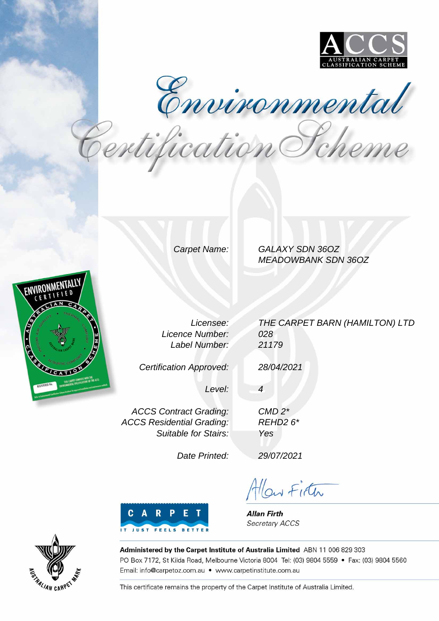

Environmental<br>Pertification Pcheme

Carpet Name: GALAXY SDN 36OZ MEADOWBANK SDN 36OZ



Licensee: Licence Number: Label Number:

Certification Approved:

THE CARPET BARN (HAMILTON) LTD 028 21179

28/04/2021

4

Level:

ACCS Contract Grading: ACCS Residential Grading: Suitable for Stairs:

Date Printed:

29/07/2021

CMD 2\* REHD2 6\*

Yes

Allow Firth



**Allan Firth** Secretary ACCS



Administered by the Carpet Institute of Australia Limited ABN 11 006 829 303 PO Box 7172, St Kilda Road, Melbourne Victoria 8004 Tel: (03) 9804 5559 · Fax: (03) 9804 5560 Email: info@carpetoz.com.au • www.carpetinstitute.com.au

This certificate remains the property of the Carpet Institute of Australia Limited.